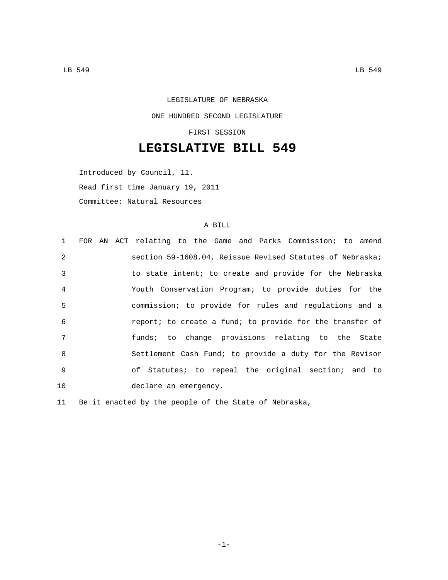LEGISLATURE OF NEBRASKA ONE HUNDRED SECOND LEGISLATURE FIRST SESSION

**LEGISLATIVE BILL 549**

Introduced by Council, 11. Read first time January 19, 2011 Committee: Natural Resources

## A BILL

| 1              | FOR AN ACT relating to the Game and Parks Commission; to amend |
|----------------|----------------------------------------------------------------|
| $\mathfrak{D}$ | section 59-1608.04, Reissue Revised Statutes of Nebraska;      |
| $\mathcal{E}$  | to state intent; to create and provide for the Nebraska        |
| $\overline{4}$ | Youth Conservation Program; to provide duties for the          |
| 5              | commission; to provide for rules and regulations and a         |
| 6              | report; to create a fund; to provide for the transfer of       |
| 7              | funds; to change provisions relating to the State              |
| 8              | Settlement Cash Fund; to provide a duty for the Revisor        |
| 9              | of Statutes; to repeal the original section; and to            |
| 10             | declare an emergency.                                          |

11 Be it enacted by the people of the State of Nebraska,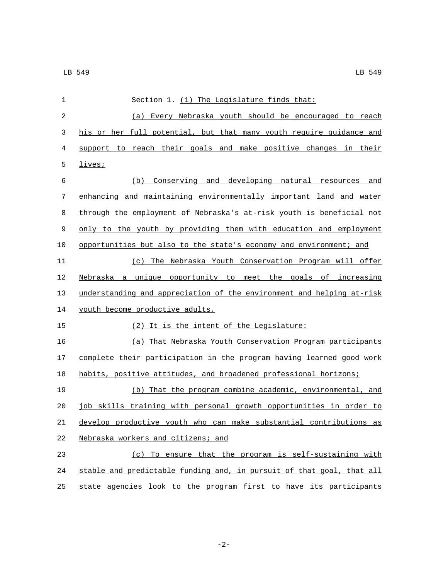| 1              | Section 1. (1) The Legislature finds that:                            |
|----------------|-----------------------------------------------------------------------|
| $\overline{2}$ | Every Nebraska youth should be encouraged to reach<br>(a)             |
| 3              | his or her full potential, but that many youth require guidance and   |
| 4              | support to reach their goals and make positive changes in their       |
| 5              | lives;                                                                |
| 6              | (b) Conserving and developing natural resources and                   |
| 7              | enhancing and maintaining environmentally important land and water    |
| 8              | through the employment of Nebraska's at-risk youth is beneficial not  |
| 9              | only to the youth by providing them with education and employment     |
| 10             | opportunities but also to the state's economy and environment; and    |
| 11             | (c) The Nebraska Youth Conservation Program will offer                |
| 12             | Nebraska a unique opportunity to meet the goals of increasing         |
| 13             | understanding and appreciation of the environment and helping at-risk |
| 14             | youth become productive adults.                                       |
| 15             | (2) It is the intent of the Legislature:                              |
| 16             | (a) That Nebraska Youth Conservation Program participants             |
| 17             | complete their participation in the program having learned good work  |
| 18             | habits, positive attitudes, and broadened professional horizons;      |
| 19             | (b) That the program combine academic, environmental, and             |
| 20             | job skills training with personal growth opportunities in order to    |
| 21             | develop productive youth who can make substantial contributions as    |
| 22             | Nebraska workers and citizens; and                                    |
| 23             | (c) To ensure that the program is self-sustaining with                |
| 24             | stable and predictable funding and, in pursuit of that goal, that all |
| 25             | state agencies look to the program first to have its participants     |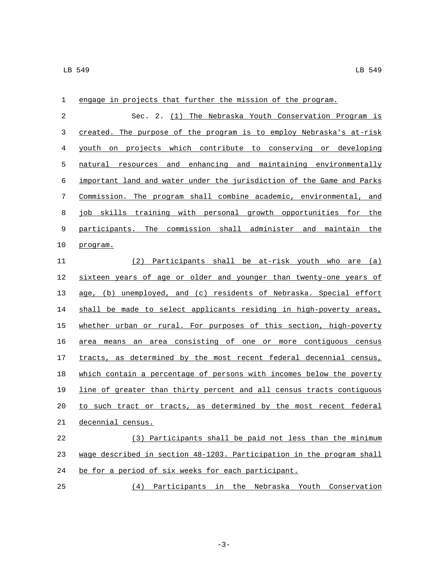| 1  | engage in projects that further the mission of the program.           |
|----|-----------------------------------------------------------------------|
| 2  | Sec. 2. (1) The Nebraska Youth Conservation Program is                |
| 3  | created. The purpose of the program is to employ Nebraska's at-risk   |
| 4  | youth on projects which contribute to conserving or developing        |
| 5  | natural resources and enhancing and maintaining environmentally       |
| 6  | important land and water under the jurisdiction of the Game and Parks |
| 7  | Commission. The program shall combine academic, environmental, and    |
| 8  | job skills training with personal growth opportunities for the        |
| 9  | participants. The commission shall administer and maintain the        |
| 10 | program.                                                              |
| 11 | (2) Participants shall be at-risk youth who are (a)                   |
| 12 | sixteen years of age or older and younger than twenty-one years of    |
| 13 | age, (b) unemployed, and (c) residents of Nebraska. Special effort    |
| 14 | shall be made to select applicants residing in high-poverty areas,    |
| 15 | whether urban or rural. For purposes of this section, high-poverty    |
| 16 | area means an area consisting of one or more contiguous census        |
| 17 | tracts, as determined by the most recent federal decennial census,    |
| 18 | which contain a percentage of persons with incomes below the poverty  |
| 19 | line of greater than thirty percent and all census tracts contiguous  |
| 20 | to such tract or tracts, as determined by the most recent federal     |
| 21 | decennial census.                                                     |
| 22 | (3) Participants shall be paid not less than the minimum              |
| 23 | wage described in section 48-1203. Participation in the program shall |
| 24 | be for a period of six weeks for each participant.                    |
| 25 | (4) Participants in the Nebraska Youth Conservation                   |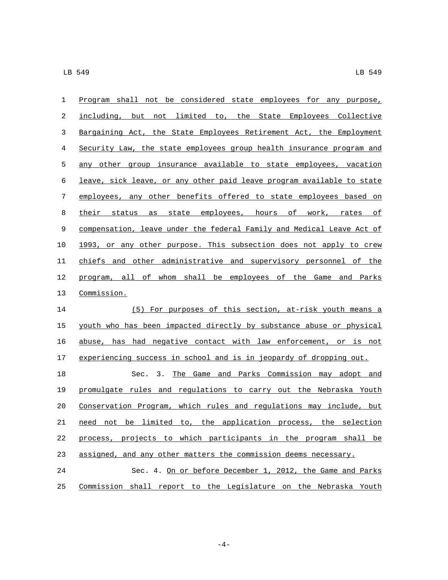| 1  | Program shall not be considered state employees for any purpose,      |
|----|-----------------------------------------------------------------------|
| 2  | including, but not limited to, the State Employees Collective         |
| 3  | Bargaining Act, the State Employees Retirement Act, the Employment    |
| 4  | Security Law, the state employees group health insurance program and  |
| 5  | any other group insurance available to state employees, vacation      |
| 6  | leave, sick leave, or any other paid leave program available to state |
| 7  | employees, any other benefits offered to state employees based on     |
| 8  | their<br>state employees, hours of work, rates of<br>status<br>as     |
| 9  | compensation, leave under the federal Family and Medical Leave Act of |
| 10 | 1993, or any other purpose. This subsection does not apply to crew    |
| 11 | chiefs and other administrative and supervisory personnel of the      |
| 12 | program, all of whom shall be employees of the Game and Parks         |
| 13 | Commission.                                                           |
| 14 | (5) For purposes of this section, at-risk youth means a               |
| 15 | youth who has been impacted directly by substance abuse or physical   |
| 16 | abuse, has had negative contact with law enforcement, or is not       |
| 17 | experiencing success in school and is in jeopardy of dropping out.    |
| 18 | The Game and Parks Commission may adopt and<br>Sec. 3.                |
| 19 | promulgate rules and regulations to carry out the Nebraska Youth      |
| 20 | Conservation Program, which rules and regulations may include, but    |
| 21 | need not be limited to, the application process, the selection        |
| 22 | process, projects to which participants in the program shall be       |
| 23 | assigned, and any other matters the commission deems necessary.       |
| 24 | Sec. 4. On or before December 1, 2012, the Game and Parks             |
| 25 | Commission shall report to the Legislature on the Nebraska Youth      |

-4-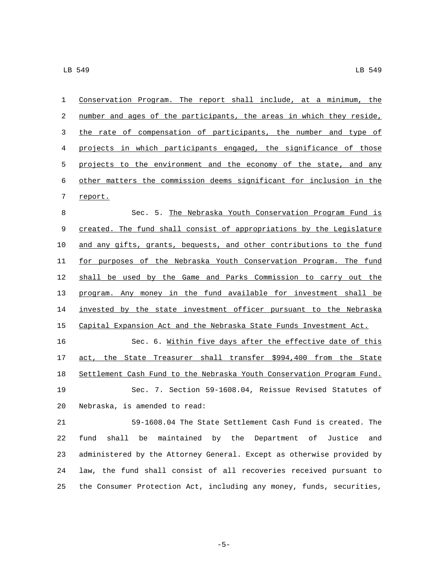| $\mathbf{1}$ | Conservation Program. The report shall include, at a minimum, the        |
|--------------|--------------------------------------------------------------------------|
| 2            | number and ages of the participants, the areas in which they reside,     |
| 3            | the rate of compensation of participants, the number and type of         |
| 4            | projects in which participants engaged, the significance of those        |
| 5            | projects to the environment and the economy of the state, and any        |
| 6            | other matters the commission deems significant for inclusion in the      |
| 7            | report.                                                                  |
| 8            | Sec. 5. The Nebraska Youth Conservation Program Fund is                  |
| 9            | created. The fund shall consist of appropriations by the Legislature     |
| 10           | and any gifts, grants, bequests, and other contributions to the fund     |
| 11           | for purposes of the Nebraska Youth Conservation Program. The fund        |
| 12           | shall be used by the Game and Parks Commission to carry out the          |
| 13           | program. Any money in the fund available for investment shall be         |
| 14           | invested by the state investment officer pursuant to the Nebraska        |
| 15           | Capital Expansion Act and the Nebraska State Funds Investment Act.       |
| 16           | Sec. 6. Within five days after the effective date of this                |
| 17           | act, the State Treasurer shall transfer \$994,400 from the State         |
| 18           | Settlement Cash Fund to the Nebraska Youth Conservation Program Fund.    |
| 19           | Sec. 7. Section 59-1608.04, Reissue Revised Statutes of                  |
| 20           | Nebraska, is amended to read:                                            |
| 21           | 59-1608.04 The State Settlement Cash Fund is created. The                |
| 22           | shall<br>be<br>maintained by the Department of<br>fund<br>Justice<br>and |
| 23           | administered by the Attorney General. Except as otherwise provided by    |
| 24           | law, the fund shall consist of all recoveries received pursuant to       |
| 25           | the Consumer Protection Act, including any money, funds, securities,     |

-5-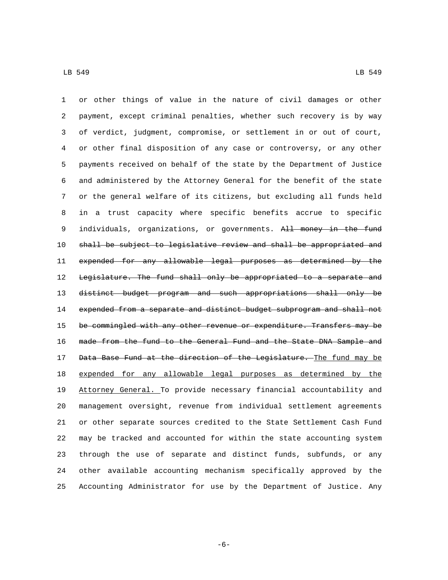or other things of value in the nature of civil damages or other payment, except criminal penalties, whether such recovery is by way of verdict, judgment, compromise, or settlement in or out of court, or other final disposition of any case or controversy, or any other payments received on behalf of the state by the Department of Justice and administered by the Attorney General for the benefit of the state or the general welfare of its citizens, but excluding all funds held in a trust capacity where specific benefits accrue to specific 9 individuals, organizations, or governments. All money in the fund shall be subject to legislative review and shall be appropriated and expended for any allowable legal purposes as determined by the 12 Legislature. The fund shall only be appropriated to a separate and distinct budget program and such appropriations shall only be 14 expended from a separate and distinct budget subprogram and shall not 15 be commingled with any other revenue or expenditure. Transfers may be made from the fund to the General Fund and the State DNA Sample and 17 Data Base Fund at the direction of the Legislature. The fund may be expended for any allowable legal purposes as determined by the Attorney General. To provide necessary financial accountability and management oversight, revenue from individual settlement agreements or other separate sources credited to the State Settlement Cash Fund may be tracked and accounted for within the state accounting system through the use of separate and distinct funds, subfunds, or any other available accounting mechanism specifically approved by the Accounting Administrator for use by the Department of Justice. Any